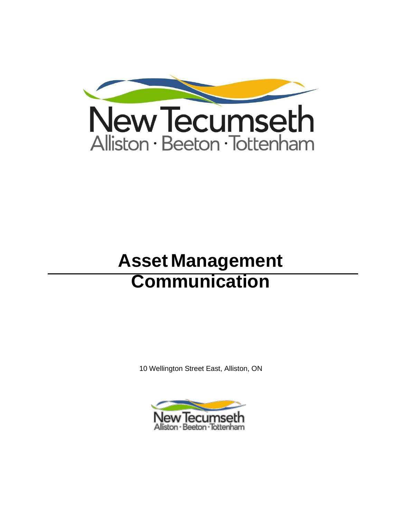

# **Asset Management Communication**

10 Wellington Street East, Alliston, ON

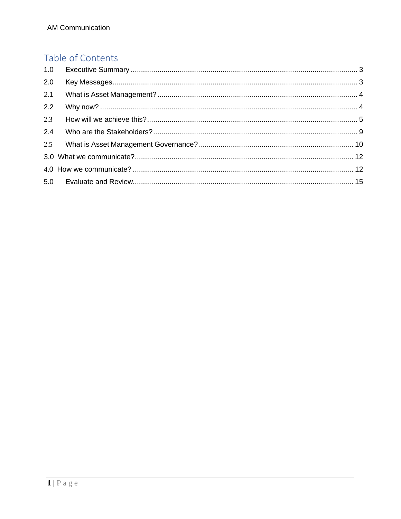# Table of Contents

| 2.0 |  |
|-----|--|
| 2.1 |  |
| 2.2 |  |
| 2.3 |  |
| 2.4 |  |
|     |  |
|     |  |
|     |  |
|     |  |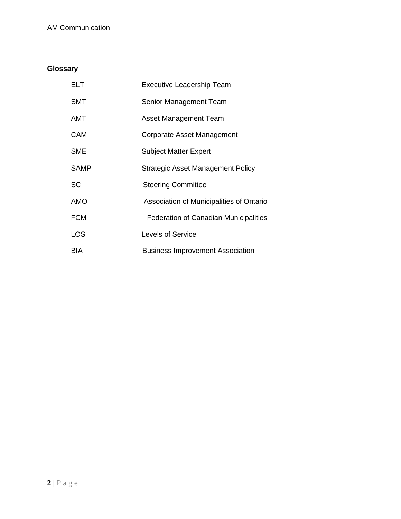# **Glossary**

| ELT         | <b>Executive Leadership Team</b>             |
|-------------|----------------------------------------------|
| <b>SMT</b>  | Senior Management Team                       |
| AMT         | Asset Management Team                        |
| <b>CAM</b>  | Corporate Asset Management                   |
| <b>SME</b>  | <b>Subject Matter Expert</b>                 |
| <b>SAMP</b> | Strategic Asset Management Policy            |
| <b>SC</b>   | <b>Steering Committee</b>                    |
| AMO         | Association of Municipalities of Ontario     |
| <b>FCM</b>  | <b>Federation of Canadian Municipalities</b> |
| <b>LOS</b>  | Levels of Service                            |
| BIA         | <b>Business Improvement Association</b>      |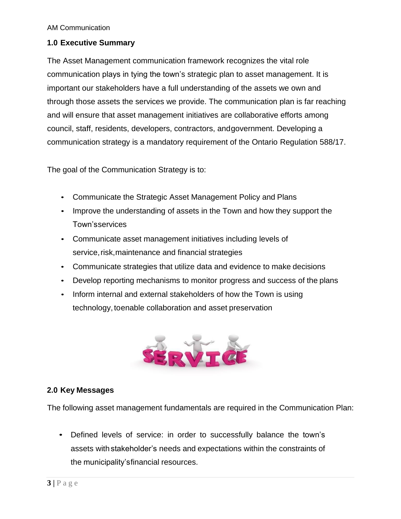#### <span id="page-3-0"></span>**1.0 Executive Summary**

The Asset Management communication framework recognizes the vital role communication plays in tying the town's strategic plan to asset management. It is important our stakeholders have a full understanding of the assets we own and through those assets the services we provide. The communication plan is far reaching and will ensure that asset management initiatives are collaborative efforts among council, staff, residents, developers, contractors, andgovernment. Developing a communication strategy is a mandatory requirement of the Ontario Regulation 588/17.

The goal of the Communication Strategy is to:

- Communicate the Strategic Asset Management Policy and Plans
- Improve the understanding of assets in the Town and how they support the Town'sservices
- Communicate asset management initiatives including levels of service, risk, maintenance and financial strategies
- Communicate strategies that utilize data and evidence to make decisions
- Develop reporting mechanisms to monitor progress and success of the plans
- Inform internal and external stakeholders of how the Town is using technology,toenable collaboration and asset preservation



#### <span id="page-3-1"></span>**2.0 Key Messages**

The following asset management fundamentals are required in the Communication Plan:

• Defined levels of service: in order to successfully balance the town's assets with stakeholder's needs and expectations within the constraints of the municipality'sfinancial resources.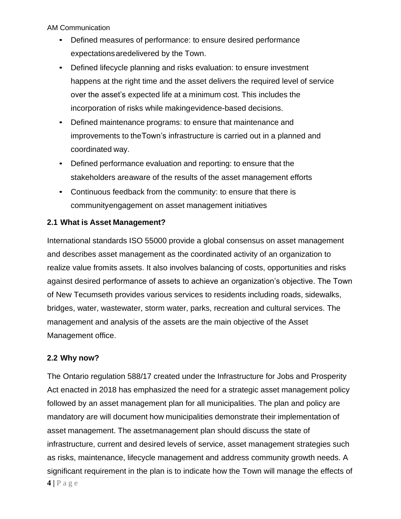- Defined measures of performance: to ensure desired performance expectationsaredelivered by the Town.
- Defined lifecycle planning and risks evaluation: to ensure investment happens at the right time and the asset delivers the required level of service over the asset's expected life at a minimum cost. This includes the incorporation of risks while makingevidence-based decisions.
- Defined maintenance programs: to ensure that maintenance and improvements to theTown's infrastructure is carried out in a planned and coordinated way.
- Defined performance evaluation and reporting: to ensure that the stakeholders areaware of the results of the asset management efforts
- Continuous feedback from the community: to ensure that there is communityengagement on asset management initiatives

# <span id="page-4-0"></span>**2.1 What is Asset Management?**

International standards ISO 55000 provide a global consensus on asset management and describes asset management as the coordinated activity of an organization to realize value fromits assets. It also involves balancing of costs, opportunities and risks against desired performance of assets to achieve an organization's objective. The Town of New Tecumseth provides various services to residents including roads, sidewalks, bridges, water, wastewater, storm water, parks, recreation and cultural services. The management and analysis of the assets are the main objective of the Asset Management office.

# <span id="page-4-1"></span>**2.2 Why now?**

The Ontario regulation 588/17 created under the Infrastructure for Jobs and Prosperity Act enacted in 2018 has emphasized the need for a strategic asset management policy followed by an asset management plan for all municipalities. The plan and policy are mandatory are will document how municipalities demonstrate their implementation of asset management. The assetmanagement plan should discuss the state of infrastructure, current and desired levels of service, asset management strategies such as risks, maintenance, lifecycle management and address community growth needs. A significant requirement in the plan is to indicate how the Town will manage the effects of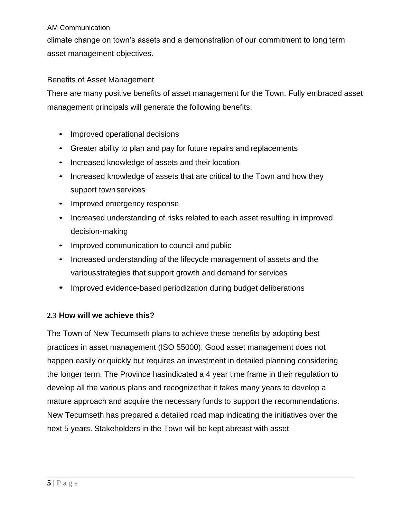climate change on town's assets and a demonstration of our commitment to long term asset management objectives.

### Benefits of Asset Management

There are many positive benefits of asset management for the Town. Fully embraced asset management principals will generate the following benefits:

- Improved operational decisions
- Greater ability to plan and pay for future repairs and replacements
- Increased knowledge of assets and their location
- Increased knowledge of assets that are critical to the Town and how they support town services
- Improved emergency response
- Increased understanding of risks related to each asset resulting in improved decision-making
- Improved communication to council and public
- Increased understanding of the lifecycle management of assets and the variousstrategies that support growth and demand for services
- Improved evidence-based periodization during budget deliberations

# <span id="page-5-0"></span>**2.3 How will we achieve this?**

The Town of New Tecumseth plans to achieve these benefits by adopting best practices in asset management (ISO 55000). Good asset management does not happen easily or quickly but requires an investment in detailed planning considering the longer term. The Province hasindicated a 4 year time frame in their regulation to develop all the various plans and recognizethat it takes many years to develop a mature approach and acquire the necessary funds to support the recommendations. New Tecumseth has prepared a detailed road map indicating the initiatives over the next 5 years. Stakeholders in the Town will be kept abreast with asset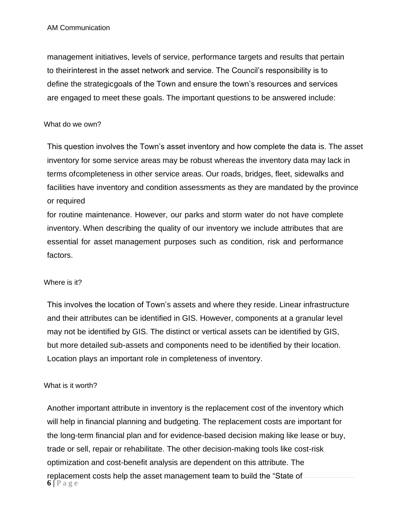management initiatives, levels of service, performance targets and results that pertain to theirinterest in the asset network and service. The Council's responsibility is to define the strategicgoals of the Town and ensure the town's resources and services are engaged to meet these goals. The important questions to be answered include:

#### What do we own?

This question involves the Town's asset inventory and how complete the data is. The asset inventory for some service areas may be robust whereas the inventory data may lack in terms ofcompleteness in other service areas. Our roads, bridges, fleet, sidewalks and facilities have inventory and condition assessments as they are mandated by the province or required

for routine maintenance. However, our parks and storm water do not have complete inventory. When describing the quality of our inventory we include attributes that are essential for asset management purposes such as condition, risk and performance factors.

#### Where is it?

This involves the location of Town's assets and where they reside. Linear infrastructure and their attributes can be identified in GIS. However, components at a granular level may not be identified by GIS. The distinct or vertical assets can be identified by GIS, but more detailed sub-assets and components need to be identified by their location. Location plays an important role in completeness of inventory.

#### What is it worth?

 $6$  | P a g e Another important attribute in inventory is the replacement cost of the inventory which will help in financial planning and budgeting. The replacement costs are important for the long-term financial plan and for evidence-based decision making like lease or buy, trade or sell, repair or rehabilitate. The other decision-making tools like cost-risk optimization and cost-benefit analysis are dependent on this attribute. The replacement costs help the asset management team to build the "State of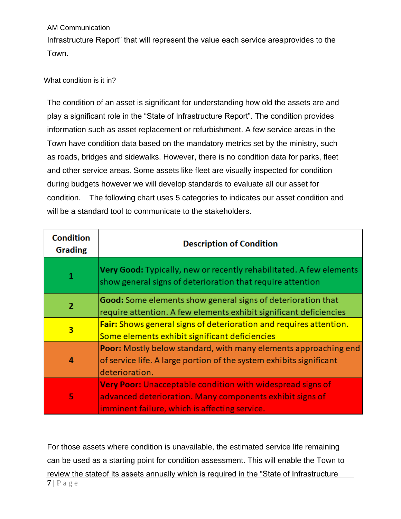Infrastructure Report" that will represent the value each service areaprovides to the Town.

### What condition is it in?

The condition of an asset is significant for understanding how old the assets are and play a significant role in the "State of Infrastructure Report". The condition provides information such as asset replacement or refurbishment. A few service areas in the Town have condition data based on the mandatory metrics set by the ministry, such as roads, bridges and sidewalks. However, there is no condition data for parks, fleet and other service areas. Some assets like fleet are visually inspected for condition during budgets however we will develop standards to evaluate all our asset for condition. The following chart uses 5 categories to indicates our asset condition and will be a standard tool to communicate to the stakeholders.

| <b>Condition</b><br><b>Grading</b> | <b>Description of Condition</b>                                                                                                                                                |  |  |
|------------------------------------|--------------------------------------------------------------------------------------------------------------------------------------------------------------------------------|--|--|
| 1                                  | Very Good: Typically, new or recently rehabilitated. A few elements<br>show general signs of deterioration that require attention                                              |  |  |
| $\overline{2}$                     | Good: Some elements show general signs of deterioration that<br>require attention. A few elements exhibit significant deficiencies                                             |  |  |
| 3                                  | Fair: Shows general signs of deterioration and requires attention.<br>Some elements exhibit significant deficiencies                                                           |  |  |
| 4                                  | <b>Poor:</b> Mostly below standard, with many elements approaching end<br>of service life. A large portion of the system exhibits significant<br>deterioration.                |  |  |
| 5                                  | <b>Very Poor:</b> Unacceptable condition with widespread signs of<br>advanced deterioration. Many components exhibit signs of<br>imminent failure, which is affecting service. |  |  |

**7 |** P a g e For those assets where condition is unavailable, the estimated service life remaining can be used as a starting point for condition assessment. This will enable the Town to review the stateof its assets annually which is required in the "State of Infrastructure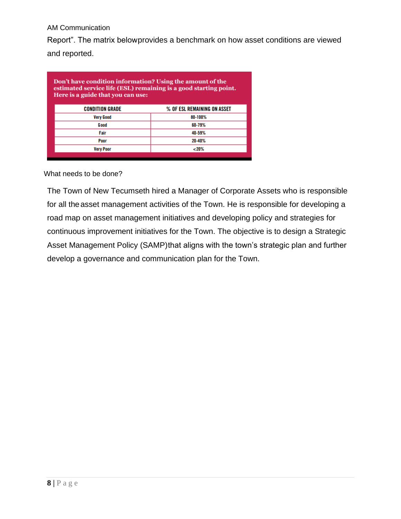Report". The matrix belowprovides a benchmark on how asset conditions are viewed and reported.

| Don't have condition information? Using the amount of the<br>estimated service life (ESL) remaining is a good starting point.<br>Here is a guide that you can use: |                             |  |  |
|--------------------------------------------------------------------------------------------------------------------------------------------------------------------|-----------------------------|--|--|
| <b>CONDITION GRADE</b>                                                                                                                                             | % OF ESL REMAINING ON ASSET |  |  |
| <b>Very Good</b>                                                                                                                                                   | 80-100%                     |  |  |
| G ood                                                                                                                                                              | 60-79%                      |  |  |
| Fair                                                                                                                                                               | 40-59%                      |  |  |
| Poor                                                                                                                                                               | 20-40%                      |  |  |
| <b>Very Poor</b>                                                                                                                                                   | $~120\%$                    |  |  |

#### What needs to be done?

The Town of New Tecumseth hired a Manager of Corporate Assets who is responsible for all the asset management activities of the Town. He is responsible for developing a road map on asset management initiatives and developing policy and strategies for continuous improvement initiatives for the Town. The objective is to design a Strategic Asset Management Policy (SAMP)that aligns with the town's strategic plan and further develop a governance and communication plan for the Town.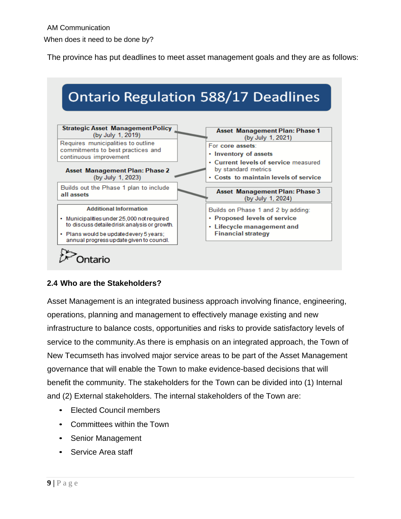The province has put deadlines to meet asset management goals and they are as follows:



# <span id="page-9-0"></span>**2.4 Who are the Stakeholders?**

Asset Management is an integrated business approach involving finance, engineering, operations, planning and management to effectively manage existing and new infrastructure to balance costs, opportunities and risks to provide satisfactory levels of service to the community.As there is emphasis on an integrated approach, the Town of New Tecumseth has involved major service areas to be part of the Asset Management governance that will enable the Town to make evidence-based decisions that will benefit the community. The stakeholders for the Town can be divided into (1) Internal and (2) External stakeholders. The internal stakeholders of the Town are:

- Elected Council members
- Committees within the Town
- Senior Management
- Service Area staff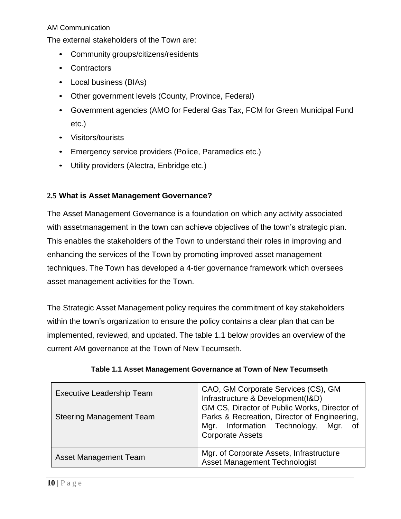The external stakeholders of the Town are:

- Community groups/citizens/residents
- Contractors
- Local business (BIAs)
- Other government levels (County, Province, Federal)
- Government agencies (AMO for Federal Gas Tax, FCM for Green Municipal Fund etc.)
- Visitors/tourists
- Emergency service providers (Police, Paramedics etc.)
- Utility providers (Alectra, Enbridge etc.)

#### <span id="page-10-0"></span>**2.5 What is Asset Management Governance?**

The Asset Management Governance is a foundation on which any activity associated with assetmanagement in the town can achieve objectives of the town's strategic plan. This enables the stakeholders of the Town to understand their roles in improving and enhancing the services of the Town by promoting improved asset management techniques. The Town has developed a 4-tier governance framework which oversees asset management activities for the Town.

The Strategic Asset Management policy requires the commitment of key stakeholders within the town's organization to ensure the policy contains a clear plan that can be implemented, reviewed, and updated. The table 1.1 below provides an overview of the current AM governance at the Town of New Tecumseth.

| <b>Executive Leadership Team</b> | CAO, GM Corporate Services (CS), GM<br>Infrastructure & Development(I&D)                                                                                              |  |  |
|----------------------------------|-----------------------------------------------------------------------------------------------------------------------------------------------------------------------|--|--|
| <b>Steering Management Team</b>  | GM CS, Director of Public Works, Director of<br>Parks & Recreation, Director of Engineering,<br>Mgr. Information Technology,<br>Mgr.<br>of<br><b>Corporate Assets</b> |  |  |
| <b>Asset Management Team</b>     | Mgr. of Corporate Assets, Infrastructure<br><b>Asset Management Technologist</b>                                                                                      |  |  |

**Table 1.1 Asset Management Governance at Town of New Tecumseth**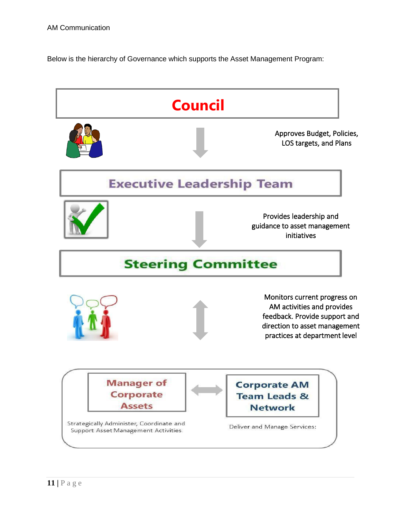Below is the hierarchy of Governance which supports the Asset Management Program:

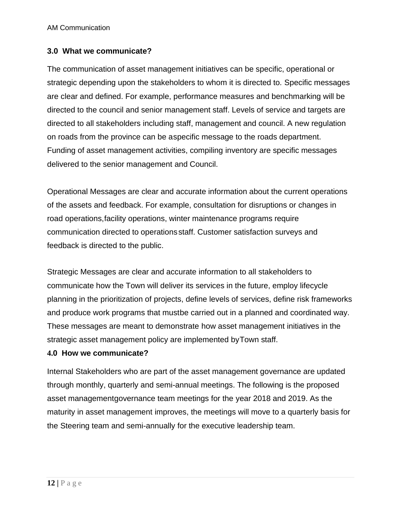#### <span id="page-12-0"></span>**3.0 What we communicate?**

The communication of asset management initiatives can be specific, operational or strategic depending upon the stakeholders to whom it is directed to*.* Specific messages are clear and defined. For example, performance measures and benchmarking will be directed to the council and senior management staff. Levels of service and targets are directed to all stakeholders including staff, management and council. A new regulation on roads from the province can be aspecific message to the roads department. Funding of asset management activities, compiling inventory are specific messages delivered to the senior management and Council.

Operational Messages are clear and accurate information about the current operations of the assets and feedback. For example, consultation for disruptions or changes in road operations,facility operations, winter maintenance programs require communication directed to operations staff. Customer satisfaction surveys and feedback is directed to the public.

Strategic Messages are clear and accurate information to all stakeholders to communicate how the Town will deliver its services in the future, employ lifecycle planning in the prioritization of projects, define levels of services, define risk frameworks and produce work programs that mustbe carried out in a planned and coordinated way. These messages are meant to demonstrate how asset management initiatives in the strategic asset management policy are implemented byTown staff.

#### <span id="page-12-1"></span>**4.0 How we communicate?**

Internal Stakeholders who are part of the asset management governance are updated through monthly, quarterly and semi-annual meetings. The following is the proposed asset managementgovernance team meetings for the year 2018 and 2019. As the maturity in asset management improves, the meetings will move to a quarterly basis for the Steering team and semi-annually for the executive leadership team.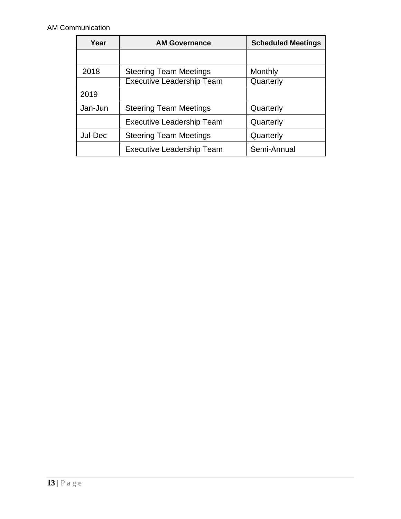| Year                             | <b>AM Governance</b>             | <b>Scheduled Meetings</b> |  |
|----------------------------------|----------------------------------|---------------------------|--|
|                                  |                                  |                           |  |
| 2018                             | <b>Steering Team Meetings</b>    | Monthly                   |  |
|                                  | <b>Executive Leadership Team</b> | Quarterly                 |  |
| 2019                             |                                  |                           |  |
| Jan-Jun                          | <b>Steering Team Meetings</b>    | Quarterly                 |  |
|                                  | <b>Executive Leadership Team</b> | Quarterly                 |  |
| Jul-Dec                          | <b>Steering Team Meetings</b>    | Quarterly                 |  |
| <b>Executive Leadership Team</b> |                                  | Semi-Annual               |  |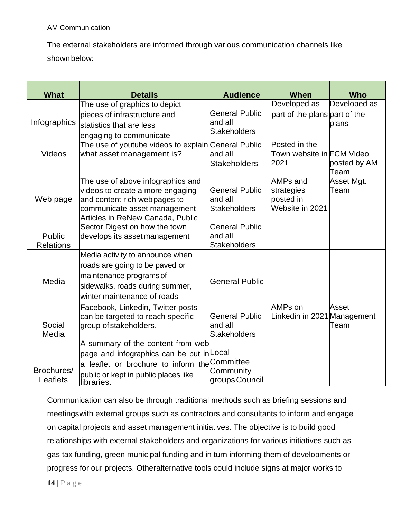The external stakeholders are informed through various communication channels like shown below:

| <b>What</b>      | <b>Details</b>                                                                   | <b>Audience</b>                  | When                                          | <b>Who</b>           |
|------------------|----------------------------------------------------------------------------------|----------------------------------|-----------------------------------------------|----------------------|
|                  | The use of graphics to depict<br>pieces of infrastructure and                    | <b>General Public</b>            | Developed as<br>part of the plans part of the | Developed as         |
| Infographics     | statistics that are less                                                         | and all                          |                                               | plans                |
|                  | engaging to communicate                                                          | <b>Stakeholders</b>              |                                               |                      |
| <b>Videos</b>    | The use of youtube videos to explain General Public<br>what asset management is? | and all                          | Posted in the<br>Town website in FCM Video    |                      |
|                  |                                                                                  | <b>Stakeholders</b>              | 2021                                          | posted by AM<br>Team |
|                  | The use of above infographics and                                                |                                  | <b>AMPs and</b>                               | Asset Mgt.           |
| Web page         | videos to create a more engaging<br>and content rich web pages to                | <b>General Public</b><br>and all | strategies<br>posted in                       | Team                 |
|                  | communicate asset management                                                     | <b>Stakeholders</b>              | Website in 2021                               |                      |
|                  | Articles in ReNew Canada, Public                                                 |                                  |                                               |                      |
| Public           | Sector Digest on how the town<br>develops its asset management                   | <b>General Public</b><br>and all |                                               |                      |
| <b>Relations</b> |                                                                                  | <b>Stakeholders</b>              |                                               |                      |
|                  | Media activity to announce when<br>roads are going to be paved or                |                                  |                                               |                      |
|                  | maintenance programs of                                                          |                                  |                                               |                      |
| Media            | sidewalks, roads during summer,                                                  | <b>General Public</b>            |                                               |                      |
|                  | winter maintenance of roads                                                      |                                  | AMPs on                                       |                      |
|                  | Facebook, Linkedin, Twitter posts<br>can be targeted to reach specific           | <b>General Public</b>            | Linkedin in 2021 Management                   | Asset                |
| Social<br>Media  | group of stakeholders.                                                           | and all<br><b>Stakeholders</b>   |                                               | Team                 |
|                  | A summary of the content from web                                                |                                  |                                               |                      |
|                  | page and infographics can be put in Local                                        |                                  |                                               |                      |
| Brochures/       | a leaflet or brochure to inform the Committee                                    | Community                        |                                               |                      |
| Leaflets         | public or kept in public places like<br>libraries.                               | groups Council                   |                                               |                      |

Communication can also be through traditional methods such as briefing sessions and meetingswith external groups such as contractors and consultants to inform and engage on capital projects and asset management initiatives. The objective is to build good relationships with external stakeholders and organizations for various initiatives such as gas tax funding, green municipal funding and in turn informing them of developments or progress for our projects. Otheralternative tools could include signs at major works to